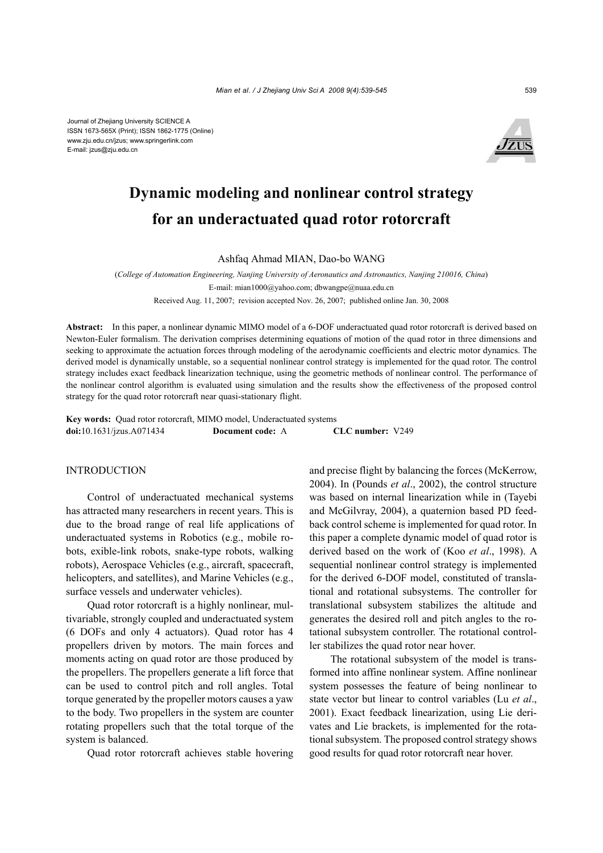Journal of Zhejiang University SCIENCE A ISSN 1673-565X (Print); ISSN 1862-1775 (Online) www.zju.edu.cn/jzus; www.springerlink.com E-mail: jzus@zju.edu.cn



# **Dynamic modeling and nonlinear control strategy for an underactuated quad rotor rotorcraft**

Ashfaq Ahmad MIAN, Dao-bo WANG

(*College of Automation Engineering, Nanjing University of Aeronautics and Astronautics, Nanjing 210016, China*) E-mail: mian1000@yahoo.com; dbwangpe@nuaa.edu.cn

Received Aug. 11, 2007; revision accepted Nov. 26, 2007; published online Jan. 30, 2008

**Abstract:** In this paper, a nonlinear dynamic MIMO model of a 6-DOF underactuated quad rotor rotorcraft is derived based on Newton-Euler formalism. The derivation comprises determining equations of motion of the quad rotor in three dimensions and seeking to approximate the actuation forces through modeling of the aerodynamic coefficients and electric motor dynamics. The derived model is dynamically unstable, so a sequential nonlinear control strategy is implemented for the quad rotor. The control strategy includes exact feedback linearization technique, using the geometric methods of nonlinear control. The performance of the nonlinear control algorithm is evaluated using simulation and the results show the effectiveness of the proposed control strategy for the quad rotor rotorcraft near quasi-stationary flight.

**Key words:** Quad rotor rotorcraft, MIMO model, Underactuated systems **doi:**10.1631/jzus.A071434 **Document code:** A **CLC number:** V249

# INTRODUCTION

Control of underactuated mechanical systems has attracted many researchers in recent years. This is due to the broad range of real life applications of underactuated systems in Robotics (e.g., mobile robots, exible-link robots, snake-type robots, walking robots), Aerospace Vehicles (e.g., aircraft, spacecraft, helicopters, and satellites), and Marine Vehicles (e.g., surface vessels and underwater vehicles).

Quad rotor rotorcraft is a highly nonlinear, multivariable, strongly coupled and underactuated system (6 DOFs and only 4 actuators). Quad rotor has 4 propellers driven by motors. The main forces and moments acting on quad rotor are those produced by the propellers. The propellers generate a lift force that can be used to control pitch and roll angles. Total torque generated by the propeller motors causes a yaw to the body. Two propellers in the system are counter rotating propellers such that the total torque of the system is balanced.

Quad rotor rotorcraft achieves stable hovering

and precise flight by balancing the forces (McKerrow, 2004). In (Pounds *et al*., 2002), the control structure was based on internal linearization while in (Tayebi and McGilvray, 2004), a quaternion based PD feedback control scheme is implemented for quad rotor. In this paper a complete dynamic model of quad rotor is derived based on the work of (Koo *et al*., 1998). A sequential nonlinear control strategy is implemented for the derived 6-DOF model, constituted of translational and rotational subsystems. The controller for translational subsystem stabilizes the altitude and generates the desired roll and pitch angles to the rotational subsystem controller. The rotational controller stabilizes the quad rotor near hover.

The rotational subsystem of the model is transformed into affine nonlinear system. Affine nonlinear system possesses the feature of being nonlinear to state vector but linear to control variables (Lu *et al*., 2001). Exact feedback linearization, using Lie derivates and Lie brackets, is implemented for the rotational subsystem. The proposed control strategy shows good results for quad rotor rotorcraft near hover.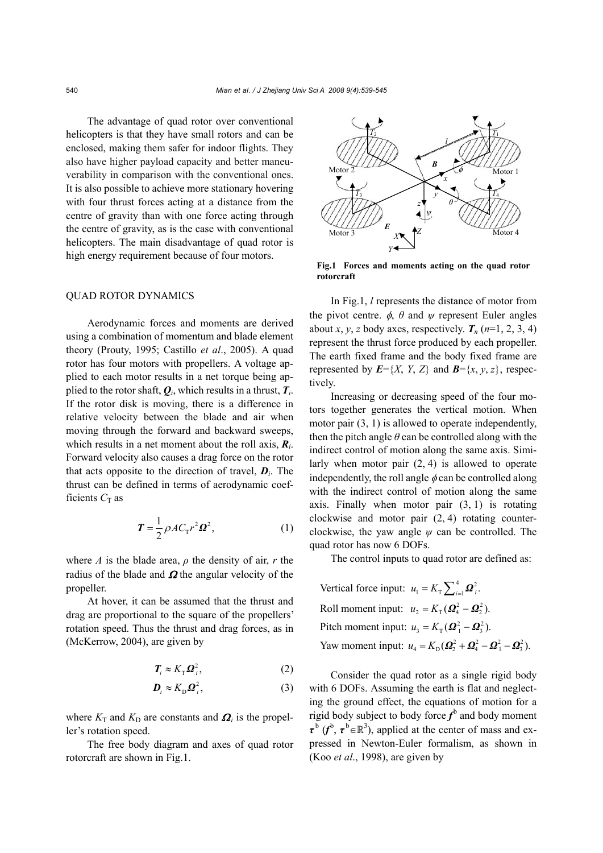The advantage of quad rotor over conventional helicopters is that they have small rotors and can be enclosed, making them safer for indoor flights. They also have higher payload capacity and better maneuverability in comparison with the conventional ones. It is also possible to achieve more stationary hovering with four thrust forces acting at a distance from the centre of gravity than with one force acting through the centre of gravity, as is the case with conventional helicopters. The main disadvantage of quad rotor is high energy requirement because of four motors.

## QUAD ROTOR DYNAMICS

Aerodynamic forces and moments are derived using a combination of momentum and blade element theory (Prouty, 1995; Castillo *et al*., 2005). A quad rotor has four motors with propellers. A voltage applied to each motor results in a net torque being applied to the rotor shaft,  $Q_i$ , which results in a thrust,  $T_i$ . If the rotor disk is moving, there is a difference in relative velocity between the blade and air when moving through the forward and backward sweeps, which results in a net moment about the roll axis, *Ri*. Forward velocity also causes a drag force on the rotor that acts opposite to the direction of travel,  $\boldsymbol{D}_i$ . The thrust can be defined in terms of aerodynamic coefficients  $C_T$  as

$$
\boldsymbol{T} = \frac{1}{2} \rho A C_{\mathrm{T}} r^2 \boldsymbol{\Omega}^2, \qquad (1)
$$

where *A* is the blade area,  $\rho$  the density of air, *r* the radius of the blade and  $\Omega$  the angular velocity of the propeller.

At hover, it can be assumed that the thrust and drag are proportional to the square of the propellers' rotation speed. Thus the thrust and drag forces, as in (McKerrow, 2004), are given by

$$
T_i \approx K_{\rm T} \Omega_i^2, \tag{2}
$$

$$
\boldsymbol{D}_i \approx K_{\rm D} \boldsymbol{\Omega}_i^2, \tag{3}
$$

where  $K_T$  and  $K_D$  are constants and  $\Omega_i$  is the propeller's rotation speed.

The free body diagram and axes of quad rotor rotorcraft are shown in Fig.1.



**Fig.1 Forces and moments acting on the quad rotor rotorcraft**

In Fig.1, *l* represents the distance of motor from the pivot centre.  $\phi$ ,  $\theta$  and  $\psi$  represent Euler angles about *x*, *y*, *z* body axes, respectively.  $T_n$  ( $n=1, 2, 3, 4$ ) represent the thrust force produced by each propeller. The earth fixed frame and the body fixed frame are represented by  $E = \{X, Y, Z\}$  and  $B = \{x, y, z\}$ , respectively.

Increasing or decreasing speed of the four motors together generates the vertical motion. When motor pair (3, 1) is allowed to operate independently, then the pitch angle  $\theta$  can be controlled along with the indirect control of motion along the same axis. Similarly when motor pair (2, 4) is allowed to operate independently, the roll angle  $\phi$  can be controlled along with the indirect control of motion along the same axis. Finally when motor pair  $(3, 1)$  is rotating clockwise and motor pair (2, 4) rotating counterclockwise, the yaw angle  $\psi$  can be controlled. The quad rotor has now 6 DOFs.

The control inputs to quad rotor are defined as:

Vertical force input:  $u_1 = K_{\text{T}} \sum_{i=1}^4 \Omega_i^2$ . Roll moment input:  $u_2 = K_{\text{T}} (Q_4^2 - Q_2^2)$ . Pitch moment input:  $u_3 = K_\text{T}(\mathbf{\Omega}_1^2 - \mathbf{\Omega}_3^2)$ . Yaw moment input:  $u_4 = K_D(\Omega_2^2 + \Omega_4^2 - \Omega_1^2 - \Omega_3^2)$ .

Consider the quad rotor as a single rigid body with 6 DOFs. Assuming the earth is flat and neglecting the ground effect, the equations of motion for a rigid body subject to body force  $f^b$  and body moment  $\tau^b$  ( $f^b$ ,  $\tau^b \in \mathbb{R}^3$ ), applied at the center of mass and expressed in Newton-Euler formalism, as shown in (Koo *et al*., 1998), are given by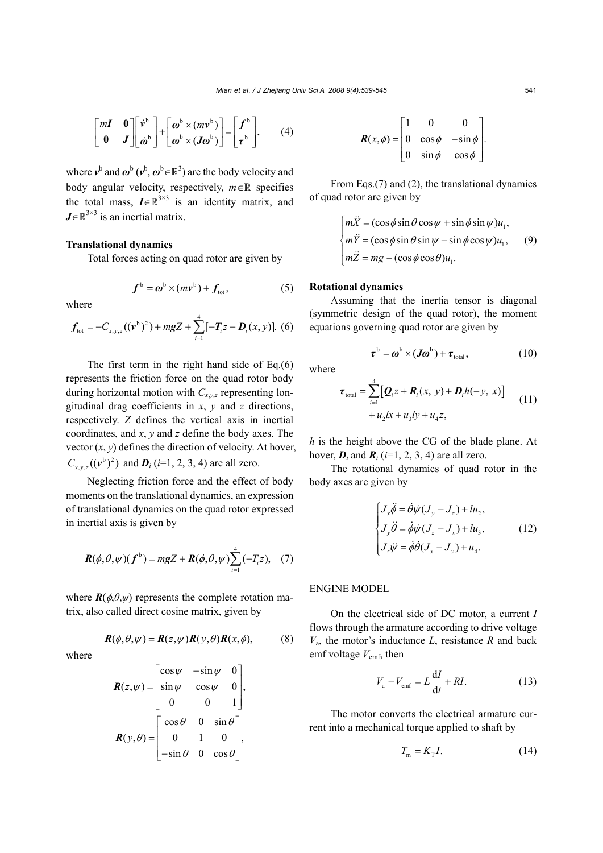$$
\begin{bmatrix} mI & 0 \\ 0 & J \end{bmatrix} \begin{bmatrix} \dot{v}^b \\ \dot{\omega}^b \end{bmatrix} + \begin{bmatrix} \omega^b \times (mv^b) \\ \omega^b \times (J\omega^b) \end{bmatrix} = \begin{bmatrix} f^b \\ \tau^b \end{bmatrix}, \qquad (4)
$$

where  $v^b$  and  $\omega^b$  ( $v^b$ ,  $\omega^b \in \mathbb{R}^3$ ) are the body velocity and body angular velocity, respectively,  $m \in \mathbb{R}$  specifies the total mass,  $I \in \mathbb{R}^{3 \times 3}$  is an identity matrix, and  $J \in \mathbb{R}^{3 \times 3}$  is an inertial matrix.

# **Translational dynamics**

Total forces acting on quad rotor are given by

$$
\boldsymbol{f}^{\mathrm{b}} = \boldsymbol{\omega}^{\mathrm{b}} \times (m\boldsymbol{\nu}^{\mathrm{b}}) + \boldsymbol{f}_{\mathrm{tot}},
$$
 (5)

where

$$
f_{\text{tot}} = -C_{x,y,z}((v^b)^2) + mgZ + \sum_{i=1}^4 [-T_i z - D_i(x, y)].
$$
 (6)

The first term in the right hand side of Eq.(6) represents the friction force on the quad rotor body during horizontal motion with  $C_{x,y,z}$  representing longitudinal drag coefficients in *x*, *y* and *z* directions, respectively. *Z* defines the vertical axis in inertial coordinates, and *x*, *y* and *z* define the body axes. The vector  $(x, y)$  defines the direction of velocity. At hover,  $C_{x,y,z}((v^b)^2)$  and  $D_i$  (*i*=1, 2, 3, 4) are all zero.

Neglecting friction force and the effect of body moments on the translational dynamics, an expression of translational dynamics on the quad rotor expressed in inertial axis is given by

$$
\boldsymbol{R}(\phi,\theta,\psi)(\boldsymbol{f}^{\mathrm{b}})=m\mathbf{g}Z+\boldsymbol{R}(\phi,\theta,\psi)\sum_{i=1}^{4}(-T_{i}z),\quad(7)
$$

where  $\mathbf{R}(\phi, \theta, \psi)$  represents the complete rotation matrix, also called direct cosine matrix, given by

$$
\mathbf{R}(\phi,\theta,\psi) = \mathbf{R}(z,\psi)\mathbf{R}(y,\theta)\mathbf{R}(x,\phi),\tag{8}
$$

where

$$
\mathbf{R}(z,\psi) = \begin{bmatrix} \cos\psi & -\sin\psi & 0 \\ \sin\psi & \cos\psi & 0 \\ 0 & 0 & 1 \end{bmatrix},
$$

$$
\mathbf{R}(y,\theta) = \begin{bmatrix} \cos\theta & 0 & \sin\theta \\ 0 & 1 & 0 \\ -\sin\theta & 0 & \cos\theta \end{bmatrix},
$$

$$
\boldsymbol{R}(x,\phi) = \begin{bmatrix} 1 & 0 & 0 \\ 0 & \cos\phi & -\sin\phi \\ 0 & \sin\phi & \cos\phi \end{bmatrix}.
$$

From Eqs.(7) and (2), the translational dynamics of quad rotor are given by

$$
\begin{cases}\n m\ddot{X} = (\cos\phi\sin\theta\cos\psi + \sin\phi\sin\psi)u_1, \\
 m\ddot{Y} = (\cos\phi\sin\theta\sin\psi - \sin\phi\cos\psi)u_1, \\
 m\ddot{Z} = mg - (\cos\phi\cos\theta)u_1.\n\end{cases}
$$
\n(9)

#### **Rotational dynamics**

Assuming that the inertia tensor is diagonal (symmetric design of the quad rotor), the moment equations governing quad rotor are given by

$$
\boldsymbol{\tau}^{\mathrm{b}} = \boldsymbol{\omega}^{\mathrm{b}} \times (J\boldsymbol{\omega}^{\mathrm{b}}) + \boldsymbol{\tau}_{\mathrm{total}}, \qquad (10)
$$

where

$$
\boldsymbol{\tau}_{\text{total}} = \sum_{i=1}^{4} [\boldsymbol{Q}_{i} z + \boldsymbol{R}_{i} (x, y) + \boldsymbol{D}_{i} h(-y, x)] + u_{2} l x + u_{3} l y + u_{4} z,
$$
\n(11)

*h* is the height above the CG of the blade plane. At hover,  $\mathbf{D}_i$  and  $\mathbf{R}_i$  (*i*=1, 2, 3, 4) are all zero.

The rotational dynamics of quad rotor in the body axes are given by

$$
\begin{cases}\nJ_x \ddot{\phi} = \dot{\theta} \dot{\psi} (J_y - J_z) + l u_2, \\
J_y \ddot{\theta} = \dot{\phi} \dot{\psi} (J_z - J_x) + l u_3, \\
J_z \ddot{\psi} = \dot{\phi} \dot{\theta} (J_x - J_y) + u_4.\n\end{cases}
$$
\n(12)

ENGINE MODEL

On the electrical side of DC motor, a current *I* flows through the armature according to drive voltage  $V_a$ , the motor's inductance *L*, resistance *R* and back emf voltage  $V_{\text{emf}}$ , then

$$
V_{\rm a} - V_{\rm emf} = L\frac{\mathrm{d}I}{\mathrm{d}t} + RI.
$$
 (13)

The motor converts the electrical armature current into a mechanical torque applied to shaft by

$$
T_{\rm m} = K_{\rm T} I. \tag{14}
$$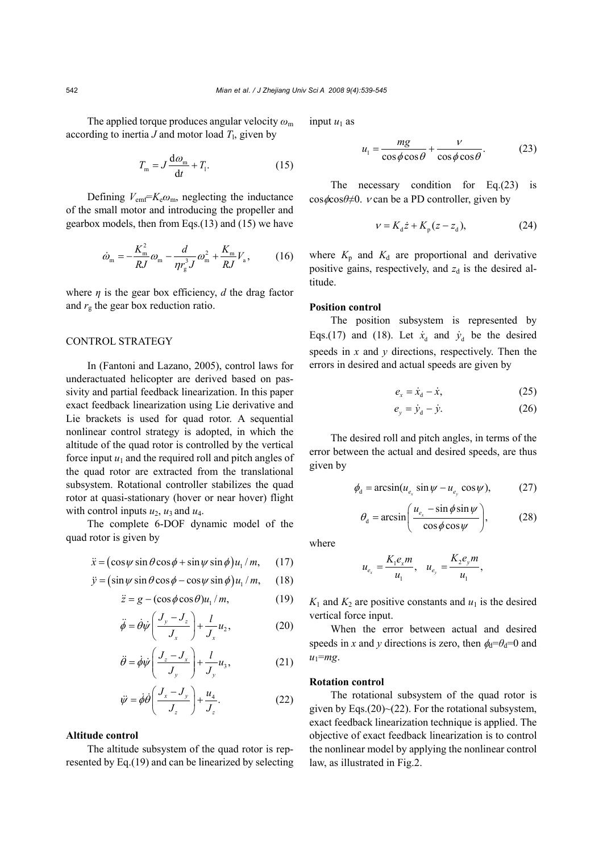The applied torque produces angular velocity *ω*<sup>m</sup> according to inertia  $J$  and motor load  $T_1$ , given by

$$
T_{\rm m} = J \frac{\mathrm{d}\omega_{\rm m}}{\mathrm{d}t} + T_{\rm l}. \tag{15}
$$

Defining  $V_{emf} = K_e \omega_m$ , neglecting the inductance of the small motor and introducing the propeller and gearbox models, then from Eqs.(13) and (15) we have

$$
\dot{\omega}_{\rm m} = -\frac{K_{\rm m}^2}{RJ}\omega_{\rm m} - \frac{d}{\eta r_{\rm g}^3 J}\omega_{\rm m}^2 + \frac{K_{\rm m}}{RJ}V_{\rm a},\qquad(16)
$$

where  $\eta$  is the gear box efficiency,  $d$  the drag factor and  $r_g$  the gear box reduction ratio.

# CONTROL STRATEGY

In (Fantoni and Lazano, 2005), control laws for underactuated helicopter are derived based on passivity and partial feedback linearization. In this paper exact feedback linearization using Lie derivative and Lie brackets is used for quad rotor. A sequential nonlinear control strategy is adopted, in which the altitude of the quad rotor is controlled by the vertical force input  $u_1$  and the required roll and pitch angles of the quad rotor are extracted from the translational subsystem. Rotational controller stabilizes the quad rotor at quasi-stationary (hover or near hover) flight with control inputs  $u_2$ ,  $u_3$  and  $u_4$ .

The complete 6-DOF dynamic model of the quad rotor is given by

$$
\ddot{x} = (\cos\psi\sin\theta\cos\phi + \sin\psi\sin\phi)u_1/m, \quad (17)
$$

$$
\ddot{y} = (\sin \psi \sin \theta \cos \phi - \cos \psi \sin \phi) u_1 / m, \quad (18)
$$

$$
\ddot{z} = g - (\cos\phi\cos\theta)u_1/m,\tag{19}
$$

$$
\ddot{\phi} = \dot{\theta}\dot{\psi}\left(\frac{J_y - J_z}{J_x}\right) + \frac{l}{J_x}u_2,\tag{20}
$$

$$
\ddot{\theta} = \dot{\phi}\dot{\psi}\left(\frac{J_z - J_x}{J_y}\right) + \frac{l}{J_y}u_3,\tag{21}
$$

$$
\ddot{\psi} = \dot{\phi}\dot{\theta}\left(\frac{J_x - J_y}{J_z}\right) + \frac{u_4}{J_z}.\tag{22}
$$

#### **Altitude control**

The altitude subsystem of the quad rotor is represented by Eq.(19) and can be linearized by selecting input  $u_1$  as

$$
u_1 = \frac{mg}{\cos\phi \cos\theta} + \frac{v}{\cos\phi \cos\theta}.
$$
 (23)

The necessary condition for Eq.(23) is cos *φ*cos*θ*≠0. *ν* can be a PD controller, given by

$$
v = K_{d}\dot{z} + K_{p}(z - z_{d}),
$$
 (24)

where  $K_p$  and  $K_d$  are proportional and derivative positive gains, respectively, and  $z_d$  is the desired altitude.

# **Position control**

The position subsystem is represented by Eqs.(17) and (18). Let  $\dot{x}_d$  and  $\dot{y}_d$  be the desired speeds in  $x$  and  $y$  directions, respectively. Then the errors in desired and actual speeds are given by

$$
e_x = \dot{x}_d - \dot{x}, \qquad (25)
$$

$$
e_y = \dot{y}_d - \dot{y}.\tag{26}
$$

The desired roll and pitch angles, in terms of the error between the actual and desired speeds, are thus given by

$$
\phi_{\rm d} = \arcsin(u_{e_x} \sin \psi - u_{e_y} \cos \psi), \tag{27}
$$

$$
\theta_{\rm d} = \arcsin\left(\frac{u_{e_x} - \sin\phi\sin\psi}{\cos\phi\cos\psi}\right),\tag{28}
$$

where

$$
u_{e_x} = \frac{K_1 e_x m}{u_1}
$$
,  $u_{e_y} = \frac{K_2 e_y m}{u_1}$ ,

 $K_1$  and  $K_2$  are positive constants and  $u_1$  is the desired vertical force input.

When the error between actual and desired speeds in *x* and *y* directions is zero, then  $\phi_d = \theta_d = 0$  and  $u_1 = mg$ .

## **Rotation control**

The rotational subsystem of the quad rotor is given by Eqs. $(20)$  - $(22)$ . For the rotational subsystem, exact feedback linearization technique is applied. The objective of exact feedback linearization is to control the nonlinear model by applying the nonlinear control law, as illustrated in Fig.2.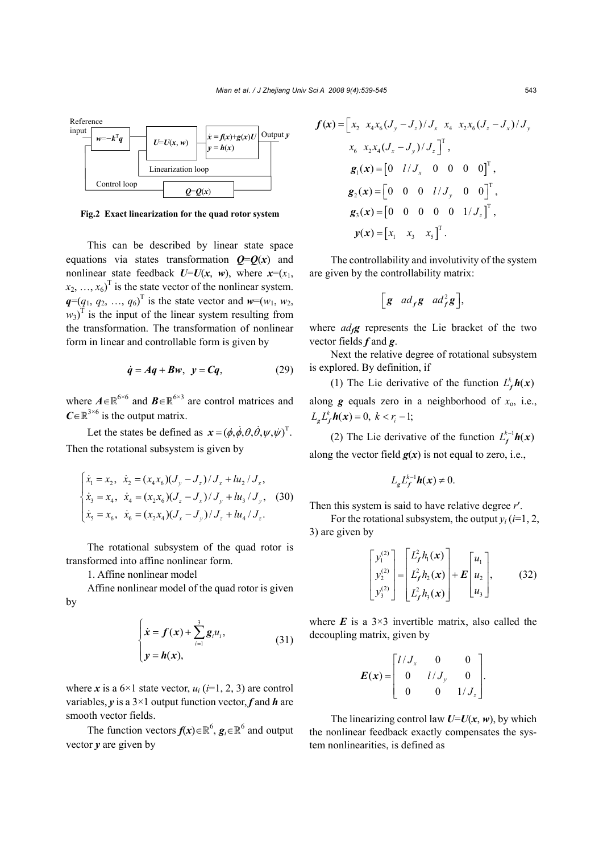

**Fig.2 Exact linearization for the quad rotor system**

This can be described by linear state space equations via states transformation  $Q=Q(x)$  and nonlinear state feedback  $U=U(x, w)$ , where  $x=(x_1,$  $(x_2, ..., x_6)^T$  is the state vector of the nonlinear system.  $q=(q_1, q_2, ..., q_6)^T$  is the state vector and  $w=(w_1, w_2, ...)$  $w_3$ <sup>T</sup> is the input of the linear system resulting from the transformation. The transformation of nonlinear form in linear and controllable form is given by

$$
\dot{q} = Aq + Bw, \ \ y = Cq, \tag{29}
$$

where  $A \in \mathbb{R}^{6 \times 6}$  and  $B \in \mathbb{R}^{6 \times 3}$  are control matrices and  $C \in \mathbb{R}^{3 \times 6}$  is the output matrix.

Let the states be defined as  $x = (\phi, \dot{\phi}, \theta, \dot{\theta}, \psi, \dot{\psi})^T$ . Then the rotational subsystem is given by

$$
\begin{cases} \n\dot{x}_1 = x_2, & \n\dot{x}_2 = (x_4 x_6)(J_y - J_z) / J_x + l u_2 / J_x, \\
\n\dot{x}_3 = x_4, & \n\dot{x}_4 = (x_2 x_6)(J_z - J_x) / J_y + l u_3 / J_y, \\
\n\dot{x}_5 = x_6, & \n\dot{x}_6 = (x_2 x_4)(J_x - J_y) / J_z + l u_4 / J_z. \n\end{cases} \tag{30}
$$

The rotational subsystem of the quad rotor is transformed into affine nonlinear form.

1. Affine nonlinear model

Affine nonlinear model of the quad rotor is given by

$$
\begin{cases} \n\dot{x} = f(x) + \sum_{i=1}^{3} g_i u_i, \\
y = h(x),\n\end{cases} \n\tag{31}
$$

where *x* is a  $6\times1$  state vector,  $u_i$  ( $i=1, 2, 3$ ) are control variables, *y* is a 3×1 output function vector, *f* and *h* are smooth vector fields.

The function vectors  $f(x) \in \mathbb{R}^6$ ,  $g_i \in \mathbb{R}^6$  and output vector *y* are given by

$$
f(\mathbf{x}) = \begin{bmatrix} x_2 & x_4 x_6 (J_y - J_z) / J_x & x_4 & x_2 x_6 (J_z - J_x) / J_y \\ x_6 & x_2 x_4 (J_x - J_y) / J_z \end{bmatrix}^T,
$$
  
\n
$$
g_1(\mathbf{x}) = \begin{bmatrix} 0 & l / J_x & 0 & 0 & 0 & 0 \end{bmatrix}^T,
$$
  
\n
$$
g_2(\mathbf{x}) = \begin{bmatrix} 0 & 0 & 0 & l / J_y & 0 & 0 \end{bmatrix}^T,
$$
  
\n
$$
g_3(\mathbf{x}) = \begin{bmatrix} 0 & 0 & 0 & 0 & 0 & 1 / J_z \end{bmatrix}^T,
$$
  
\n
$$
y(\mathbf{x}) = \begin{bmatrix} x_1 & x_3 & x_5 \end{bmatrix}^T.
$$

The controllability and involutivity of the system are given by the controllability matrix:

$$
\left[\mathbf{g} \quad ad_f \mathbf{g} \quad ad_f^2 \mathbf{g}\right],
$$

where  $ad_f g$  represents the Lie bracket of the two vector fields *f* and *g*.

Next the relative degree of rotational subsystem is explored. By definition, if

(1) The Lie derivative of the function  $L_f^k h(x)$ along  $g$  equals zero in a neighborhood of  $x_0$ , i.e.,  $L_{\alpha} L_f^k h(x) = 0, \ k < r_i - 1;$ 

(2) The Lie derivative of the function  $L_f^{k-1}h(x)$ along the vector field  $g(x)$  is not equal to zero, i.e.,

$$
L_{g}L_{f}^{k-1}\mathbf{h}(x)\neq 0.
$$

Then this system is said to have relative degree *r*′.

For the rotational subsystem, the output  $y_i$  ( $i=1, 2$ , 3) are given by

$$
\begin{bmatrix} y_1^{(2)} \\ y_2^{(2)} \\ y_3^{(2)} \end{bmatrix} = \begin{bmatrix} L_f^2 h_1(\mathbf{x}) \\ L_f^2 h_2(\mathbf{x}) \\ L_f^2 h_3(\mathbf{x}) \end{bmatrix} + \mathbf{E} \begin{bmatrix} u_1 \\ u_2 \\ u_3 \end{bmatrix}, \quad (32)
$$

where  $E$  is a  $3\times3$  invertible matrix, also called the decoupling matrix, given by

$$
E(x) = \begin{bmatrix} l/J_x & 0 & 0 \\ 0 & l/J_y & 0 \\ 0 & 0 & 1/J_z \end{bmatrix}.
$$

The linearizing control law  $U=U(x, w)$ , by which the nonlinear feedback exactly compensates the system nonlinearities, is defined as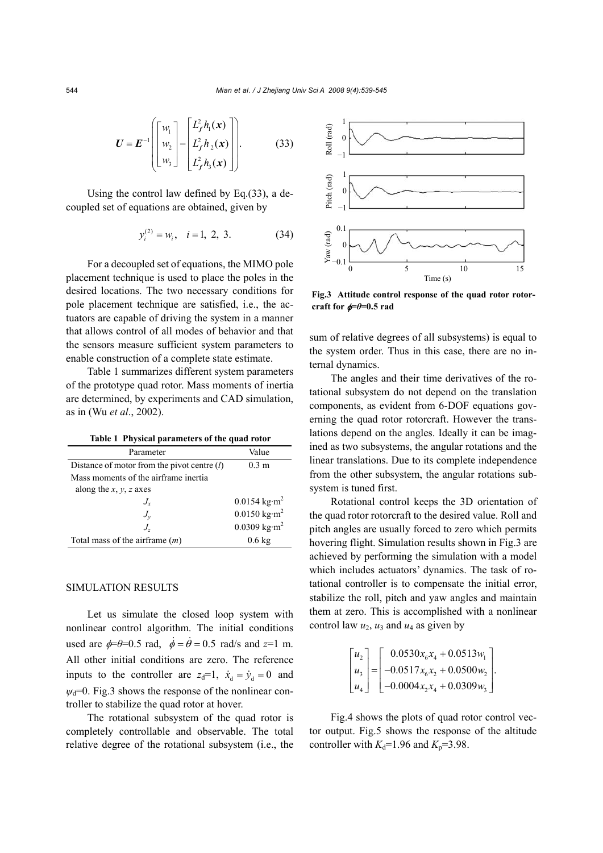$$
\boldsymbol{U} = \boldsymbol{E}^{-1} \left( \begin{bmatrix} w_1 \\ w_2 \\ w_3 \end{bmatrix} - \begin{bmatrix} L_f^2 h_1(\boldsymbol{x}) \\ L_f^2 h_2(\boldsymbol{x}) \\ L_f^2 h_3(\boldsymbol{x}) \end{bmatrix} \right).
$$
(33)

Using the control law defined by Eq.(33), a decoupled set of equations are obtained, given by

$$
y_i^{(2)} = w_i, \quad i = 1, 2, 3. \tag{34}
$$

For a decoupled set of equations, the MIMO pole placement technique is used to place the poles in the desired locations. The two necessary conditions for pole placement technique are satisfied, i.e., the actuators are capable of driving the system in a manner that allows control of all modes of behavior and that the sensors measure sufficient system parameters to enable construction of a complete state estimate.

Table 1 summarizes different system parameters of the prototype quad rotor. Mass moments of inertia are determined, by experiments and CAD simulation, as in (Wu *et al*., 2002).

**Table 1 Physical parameters of the quad rotor**

| Parameter                                     | Value                                |
|-----------------------------------------------|--------------------------------------|
| Distance of motor from the pivot centre $(l)$ | 0.3 <sub>m</sub>                     |
| Mass moments of the airframe inertia          |                                      |
| along the x, y, z axes                        |                                      |
| $J_{\rm v}$                                   | $0.0154 \text{ kg} \cdot \text{m}^2$ |
| $J_{\rm v}$                                   | $0.0150 \text{ kg} \cdot \text{m}^2$ |
| J.                                            | $0.0309$ kg·m <sup>2</sup>           |
| Total mass of the airframe $(m)$              | $0.6 \text{ kg}$                     |

## SIMULATION RESULTS

Let us simulate the closed loop system with nonlinear control algorithm. The initial conditions used are  $\phi = \theta = 0.5$  rad,  $\dot{\phi} = \dot{\theta} = 0.5$  rad/s and  $z = 1$  m. All other initial conditions are zero. The reference inputs to the controller are  $z_d=1$ ,  $\dot{x}_d = \dot{y}_d = 0$  and  $\psi_d$ =0. Fig.3 shows the response of the nonlinear controller to stabilize the quad rotor at hover.

The rotational subsystem of the quad rotor is completely controllable and observable. The total relative degree of the rotational subsystem (i.e., the



**Fig.3 Attitude control response of the quad rotor rotorcraft for** φ*=θ***=0.5 rad**

sum of relative degrees of all subsystems) is equal to the system order. Thus in this case, there are no internal dynamics.

The angles and their time derivatives of the rotational subsystem do not depend on the translation components, as evident from 6-DOF equations governing the quad rotor rotorcraft. However the translations depend on the angles. Ideally it can be imagined as two subsystems, the angular rotations and the linear translations. Due to its complete independence from the other subsystem, the angular rotations subsystem is tuned first.

Rotational control keeps the 3D orientation of the quad rotor rotorcraft to the desired value. Roll and pitch angles are usually forced to zero which permits hovering flight. Simulation results shown in Fig.3 are achieved by performing the simulation with a model which includes actuators' dynamics. The task of rotational controller is to compensate the initial error, stabilize the roll, pitch and yaw angles and maintain them at zero. This is accomplished with a nonlinear control law  $u_2$ ,  $u_3$  and  $u_4$  as given by

$$
\begin{bmatrix} u_2 \\ u_3 \\ u_4 \end{bmatrix} = \begin{bmatrix} 0.0530x_6x_4 + 0.0513w_1 \\ -0.0517x_6x_2 + 0.0500w_2 \\ -0.0004x_2x_4 + 0.0309w_3 \end{bmatrix}.
$$

Fig.4 shows the plots of quad rotor control vector output. Fig.5 shows the response of the altitude controller with  $K_d$ =1.96 and  $K_p$ =3.98.